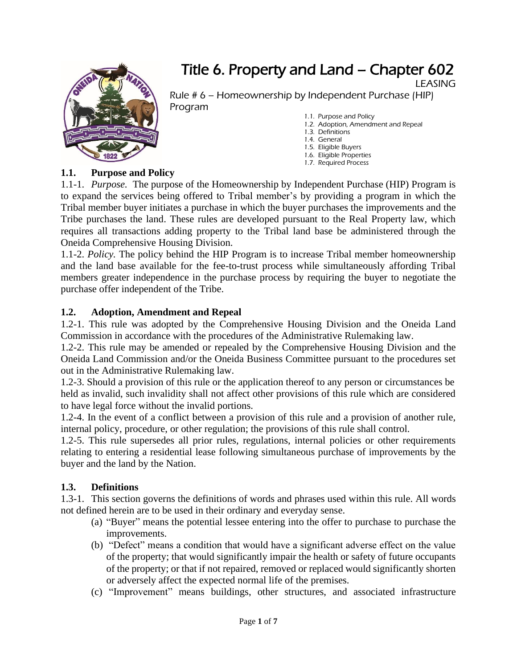

# Title 6. Property and Land – Chapter 602

LEASING

Rule # 6 – Homeownership by Independent Purchase (HIP) Program

- [1.1. Purpose and Policy](#page-0-0)
- [1.2. Adoption,](#page-0-1) Amendment and Repeal [1.3. Definitions](#page-0-2)
- [1.4. General](#page-1-0)
- [1.5. Eligible Buyers](#page-2-0)
- 1.6. Eligible Properties
- [1.7. Required Process](#page-2-1)

### <span id="page-0-0"></span>**1.1. Purpose and Policy**

1.1-1. *Purpose.* The purpose of the Homeownership by Independent Purchase (HIP) Program is to expand the services being offered to Tribal member's by providing a program in which the Tribal member buyer initiates a purchase in which the buyer purchases the improvements and the Tribe purchases the land. These rules are developed pursuant to the Real Property law, which requires all transactions adding property to the Tribal land base be administered through the Oneida Comprehensive Housing Division.

1.1-2. *Policy.* The policy behind the HIP Program is to increase Tribal member homeownership and the land base available for the fee-to-trust process while simultaneously affording Tribal members greater independence in the purchase process by requiring the buyer to negotiate the purchase offer independent of the Tribe.

### <span id="page-0-1"></span>**1.2. Adoption, Amendment and Repeal**

1.2-1. This rule was adopted by the Comprehensive Housing Division and the Oneida Land Commission in accordance with the procedures of the Administrative Rulemaking law.

1.2-2. This rule may be amended or repealed by the Comprehensive Housing Division and the Oneida Land Commission and/or the Oneida Business Committee pursuant to the procedures set out in the Administrative Rulemaking law.

1.2-3. Should a provision of this rule or the application thereof to any person or circumstances be held as invalid, such invalidity shall not affect other provisions of this rule which are considered to have legal force without the invalid portions.

1.2-4. In the event of a conflict between a provision of this rule and a provision of another rule, internal policy, procedure, or other regulation; the provisions of this rule shall control.

1.2-5. This rule supersedes all prior rules, regulations, internal policies or other requirements relating to entering a residential lease following simultaneous purchase of improvements by the buyer and the land by the Nation.

### <span id="page-0-2"></span>**1.3. Definitions**

1.3-1. This section governs the definitions of words and phrases used within this rule. All words not defined herein are to be used in their ordinary and everyday sense.

- (a) "Buyer" means the potential lessee entering into the offer to purchase to purchase the improvements.
- (b) "Defect" means a condition that would have a significant adverse effect on the value of the property; that would significantly impair the health or safety of future occupants of the property; or that if not repaired, removed or replaced would significantly shorten or adversely affect the expected normal life of the premises.
- (c) "Improvement" means buildings, other structures, and associated infrastructure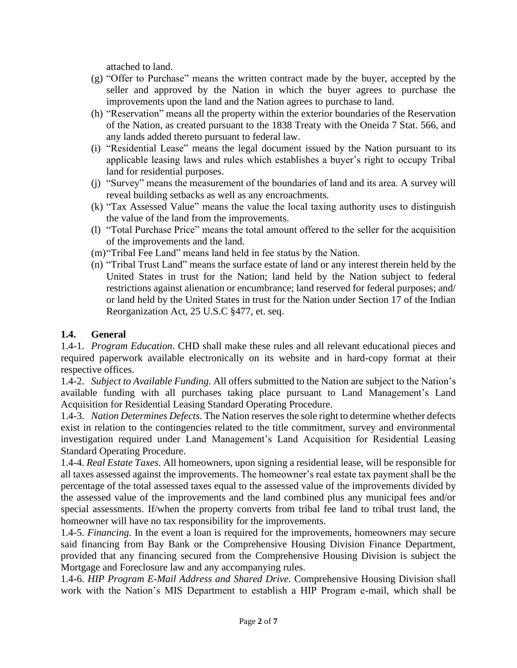attached to land.

- (g) "Offer to Purchase" means the written contract made by the buyer, accepted by the seller and approved by the Nation in which the buyer agrees to purchase the improvements upon the land and the Nation agrees to purchase to land.
- (h) "Reservation" means all the property within the exterior boundaries of the Reservation of the Nation, as created pursuant to the 1838 Treaty with the Oneida 7 Stat. 566, and any lands added thereto pursuant to federal law.
- (i) "Residential Lease" means the legal document issued by the Nation pursuant to its applicable leasing laws and rules which establishes a buyer's right to occupy Tribal land for residential purposes.
- (j) "Survey" means the measurement of the boundaries of land and its area. A survey will reveal building setbacks as well as any encroachments.
- (k) "Tax Assessed Value" means the value the local taxing authority uses to distinguish the value of the land from the improvements.
- (l) "Total Purchase Price" means the total amount offered to the seller for the acquisition of the improvements and the land.
- (m)"Tribal Fee Land" means land held in fee status by the Nation.
- (n) "Tribal Trust Land" means the surface estate of land or any interest therein held by the United States in trust for the Nation; land held by the Nation subject to federal restrictions against alienation or encumbrance; land reserved for federal purposes; and/ or land held by the United States in trust for the Nation under Section 17 of the Indian Reorganization Act, 25 U.S.C §477, et. seq.

## <span id="page-1-0"></span>**1.4. General**

1.4-1. *Program Education*. CHD shall make these rules and all relevant educational pieces and required paperwork available electronically on its website and in hard-copy format at their respective offices.

1.4-2. *Subject to Available Funding.* All offers submitted to the Nation are subject to the Nation's available funding with all purchases taking place pursuant to Land Management's Land Acquisition for Residential Leasing Standard Operating Procedure.

1.4-3. *Nation Determines Defects.* The Nation reserves the sole right to determine whether defects exist in relation to the contingencies related to the title commitment, survey and environmental investigation required under Land Management's Land Acquisition for Residential Leasing Standard Operating Procedure.

1.4-4. *Real Estate Taxes*. All homeowners, upon signing a residential lease, will be responsible for all taxes assessed against the improvements. The homeowner's real estate tax payment shall be the percentage of the total assessed taxes equal to the assessed value of the improvements divided by the assessed value of the improvements and the land combined plus any municipal fees and/or special assessments. If/when the property converts from tribal fee land to tribal trust land, the homeowner will have no tax responsibility for the improvements.

1.4-5. *Financing.* In the event a loan is required for the improvements, homeowners may secure said financing from Bay Bank or the Comprehensive Housing Division Finance Department, provided that any financing secured from the Comprehensive Housing Division is subject the Mortgage and Foreclosure law and any accompanying rules.

1.4-6. *HIP Program E-Mail Address and Shared Drive.* Comprehensive Housing Division shall work with the Nation's MIS Department to establish a HIP Program e-mail, which shall be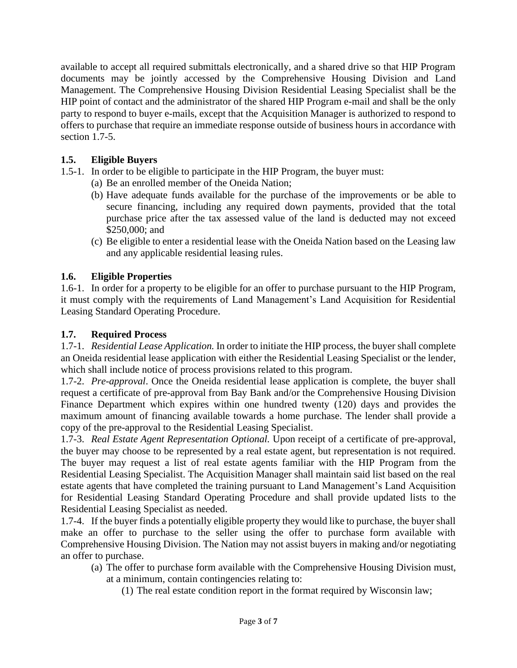available to accept all required submittals electronically, and a shared drive so that HIP Program documents may be jointly accessed by the Comprehensive Housing Division and Land Management. The Comprehensive Housing Division Residential Leasing Specialist shall be the HIP point of contact and the administrator of the shared HIP Program e-mail and shall be the only party to respond to buyer e-mails, except that the Acquisition Manager is authorized to respond to offers to purchase that require an immediate response outside of business hours in accordance with section 1.7-5.

## <span id="page-2-0"></span>**1.5. Eligible Buyers**

- 1.5-1. In order to be eligible to participate in the HIP Program, the buyer must:
	- (a) Be an enrolled member of the Oneida Nation;
	- (b) Have adequate funds available for the purchase of the improvements or be able to secure financing, including any required down payments, provided that the total purchase price after the tax assessed value of the land is deducted may not exceed \$250,000; and
	- (c) Be eligible to enter a residential lease with the Oneida Nation based on the Leasing law and any applicable residential leasing rules.

## **1.6. Eligible Properties**

1.6-1. In order for a property to be eligible for an offer to purchase pursuant to the HIP Program, it must comply with the requirements of Land Management's Land Acquisition for Residential Leasing Standard Operating Procedure.

### <span id="page-2-1"></span>**1.7. Required Process**

1.7-1. *Residential Lease Application.* In order to initiate the HIP process, the buyer shall complete an Oneida residential lease application with either the Residential Leasing Specialist or the lender, which shall include notice of process provisions related to this program.

1.7-2. *Pre-approval*. Once the Oneida residential lease application is complete, the buyer shall request a certificate of pre-approval from Bay Bank and/or the Comprehensive Housing Division Finance Department which expires within one hundred twenty (120) days and provides the maximum amount of financing available towards a home purchase. The lender shall provide a copy of the pre-approval to the Residential Leasing Specialist.

1.7-3. *Real Estate Agent Representation Optional.* Upon receipt of a certificate of pre-approval, the buyer may choose to be represented by a real estate agent, but representation is not required. The buyer may request a list of real estate agents familiar with the HIP Program from the Residential Leasing Specialist. The Acquisition Manager shall maintain said list based on the real estate agents that have completed the training pursuant to Land Management's Land Acquisition for Residential Leasing Standard Operating Procedure and shall provide updated lists to the Residential Leasing Specialist as needed.

1.7-4. If the buyer finds a potentially eligible property they would like to purchase, the buyer shall make an offer to purchase to the seller using the offer to purchase form available with Comprehensive Housing Division. The Nation may not assist buyers in making and/or negotiating an offer to purchase.

- (a) The offer to purchase form available with the Comprehensive Housing Division must, at a minimum, contain contingencies relating to:
	- (1) The real estate condition report in the format required by Wisconsin law;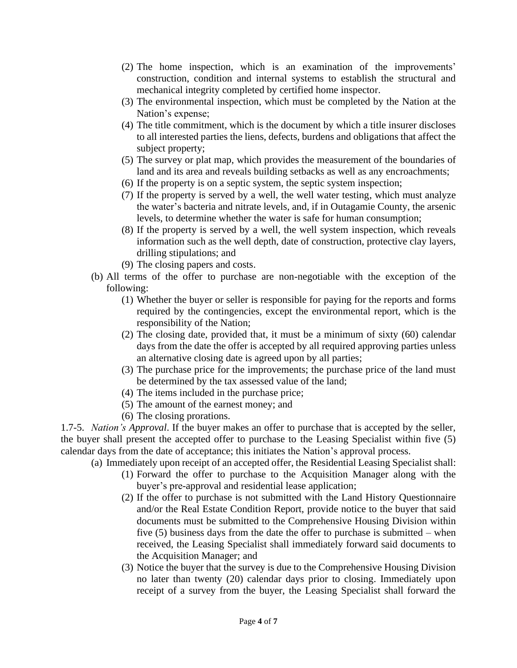- (2) The home inspection, which is an examination of the improvements' construction, condition and internal systems to establish the structural and mechanical integrity completed by certified home inspector.
- (3) The environmental inspection, which must be completed by the Nation at the Nation's expense;
- (4) The title commitment, which is the document by which a title insurer discloses to all interested parties the liens, defects, burdens and obligations that affect the subject property;
- (5) The survey or plat map, which provides the measurement of the boundaries of land and its area and reveals building setbacks as well as any encroachments;
- (6) If the property is on a septic system, the septic system inspection;
- (7) If the property is served by a well, the well water testing, which must analyze the water's bacteria and nitrate levels, and, if in Outagamie County, the arsenic levels, to determine whether the water is safe for human consumption;
- (8) If the property is served by a well, the well system inspection, which reveals information such as the well depth, date of construction, protective clay layers, drilling stipulations; and
- (9) The closing papers and costs.
- (b) All terms of the offer to purchase are non-negotiable with the exception of the following:
	- (1) Whether the buyer or seller is responsible for paying for the reports and forms required by the contingencies, except the environmental report, which is the responsibility of the Nation;
	- (2) The closing date, provided that, it must be a minimum of sixty (60) calendar days from the date the offer is accepted by all required approving parties unless an alternative closing date is agreed upon by all parties;
	- (3) The purchase price for the improvements; the purchase price of the land must be determined by the tax assessed value of the land;
	- (4) The items included in the purchase price;
	- (5) The amount of the earnest money; and
	- (6) The closing prorations.

1.7-5. *Nation's Approval*. If the buyer makes an offer to purchase that is accepted by the seller, the buyer shall present the accepted offer to purchase to the Leasing Specialist within five (5) calendar days from the date of acceptance; this initiates the Nation's approval process.

(a) Immediately upon receipt of an accepted offer, the Residential Leasing Specialist shall:

- (1) Forward the offer to purchase to the Acquisition Manager along with the buyer's pre-approval and residential lease application;
- (2) If the offer to purchase is not submitted with the Land History Questionnaire and/or the Real Estate Condition Report, provide notice to the buyer that said documents must be submitted to the Comprehensive Housing Division within five (5) business days from the date the offer to purchase is submitted – when received, the Leasing Specialist shall immediately forward said documents to the Acquisition Manager; and
- (3) Notice the buyer that the survey is due to the Comprehensive Housing Division no later than twenty (20) calendar days prior to closing. Immediately upon receipt of a survey from the buyer, the Leasing Specialist shall forward the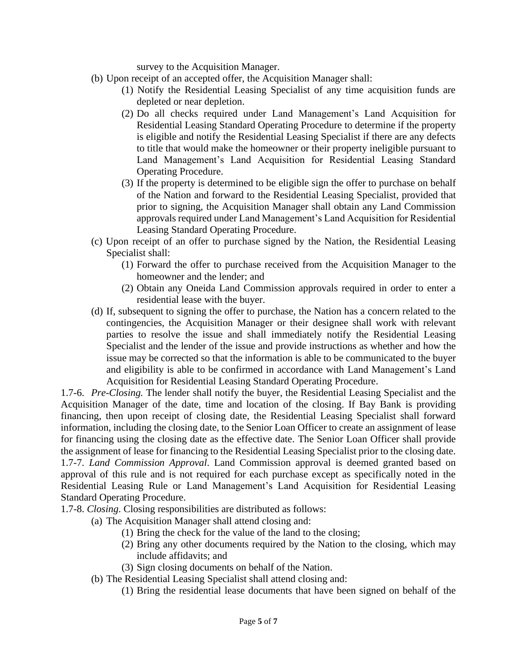survey to the Acquisition Manager.

- (b) Upon receipt of an accepted offer, the Acquisition Manager shall:
	- (1) Notify the Residential Leasing Specialist of any time acquisition funds are depleted or near depletion.
	- (2) Do all checks required under Land Management's Land Acquisition for Residential Leasing Standard Operating Procedure to determine if the property is eligible and notify the Residential Leasing Specialist if there are any defects to title that would make the homeowner or their property ineligible pursuant to Land Management's Land Acquisition for Residential Leasing Standard Operating Procedure.
	- (3) If the property is determined to be eligible sign the offer to purchase on behalf of the Nation and forward to the Residential Leasing Specialist, provided that prior to signing, the Acquisition Manager shall obtain any Land Commission approvals required under Land Management's Land Acquisition for Residential Leasing Standard Operating Procedure.
- (c) Upon receipt of an offer to purchase signed by the Nation, the Residential Leasing Specialist shall:
	- (1) Forward the offer to purchase received from the Acquisition Manager to the homeowner and the lender; and
	- (2) Obtain any Oneida Land Commission approvals required in order to enter a residential lease with the buyer.
- (d) If, subsequent to signing the offer to purchase, the Nation has a concern related to the contingencies, the Acquisition Manager or their designee shall work with relevant parties to resolve the issue and shall immediately notify the Residential Leasing Specialist and the lender of the issue and provide instructions as whether and how the issue may be corrected so that the information is able to be communicated to the buyer and eligibility is able to be confirmed in accordance with Land Management's Land Acquisition for Residential Leasing Standard Operating Procedure.

1.7-6. *Pre-Closing.* The lender shall notify the buyer, the Residential Leasing Specialist and the Acquisition Manager of the date, time and location of the closing. If Bay Bank is providing financing, then upon receipt of closing date, the Residential Leasing Specialist shall forward information, including the closing date, to the Senior Loan Officer to create an assignment of lease for financing using the closing date as the effective date. The Senior Loan Officer shall provide the assignment of lease for financing to the Residential Leasing Specialist prior to the closing date. 1.7-7. *Land Commission Approval*. Land Commission approval is deemed granted based on approval of this rule and is not required for each purchase except as specifically noted in the Residential Leasing Rule or Land Management's Land Acquisition for Residential Leasing Standard Operating Procedure.

1.7-8. *Closing*. Closing responsibilities are distributed as follows:

- (a) The Acquisition Manager shall attend closing and:
	- (1) Bring the check for the value of the land to the closing;
	- (2) Bring any other documents required by the Nation to the closing, which may include affidavits; and
	- (3) Sign closing documents on behalf of the Nation.
- (b) The Residential Leasing Specialist shall attend closing and:
	- (1) Bring the residential lease documents that have been signed on behalf of the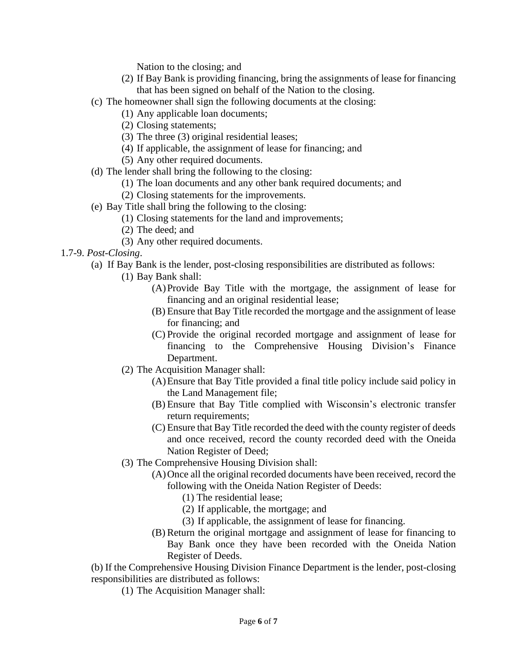Nation to the closing; and

- (2) If Bay Bank is providing financing, bring the assignments of lease for financing that has been signed on behalf of the Nation to the closing.
- (c) The homeowner shall sign the following documents at the closing:
	- (1) Any applicable loan documents;
	- (2) Closing statements;
	- (3) The three (3) original residential leases;
	- (4) If applicable, the assignment of lease for financing; and
	- (5) Any other required documents.
- (d) The lender shall bring the following to the closing:
	- (1) The loan documents and any other bank required documents; and
	- (2) Closing statements for the improvements.
- (e) Bay Title shall bring the following to the closing:
	- (1) Closing statements for the land and improvements;
	- (2) The deed; and
	- (3) Any other required documents.

## 1.7-9. *Post-Closing*.

- (a) If Bay Bank is the lender, post-closing responsibilities are distributed as follows:
	- (1) Bay Bank shall:
		- (A)Provide Bay Title with the mortgage, the assignment of lease for financing and an original residential lease;
		- (B) Ensure that Bay Title recorded the mortgage and the assignment of lease for financing; and
		- (C) Provide the original recorded mortgage and assignment of lease for financing to the Comprehensive Housing Division's Finance Department.
	- (2) The Acquisition Manager shall:
		- (A)Ensure that Bay Title provided a final title policy include said policy in the Land Management file;
		- (B) Ensure that Bay Title complied with Wisconsin's electronic transfer return requirements;
		- (C) Ensure that Bay Title recorded the deed with the county register of deeds and once received, record the county recorded deed with the Oneida Nation Register of Deed;
	- (3) The Comprehensive Housing Division shall:
		- (A)Once all the original recorded documents have been received, record the following with the Oneida Nation Register of Deeds:
			- (1) The residential lease;
			- (2) If applicable, the mortgage; and
			- (3) If applicable, the assignment of lease for financing.
		- (B) Return the original mortgage and assignment of lease for financing to Bay Bank once they have been recorded with the Oneida Nation Register of Deeds.

(b) If the Comprehensive Housing Division Finance Department is the lender, post-closing responsibilities are distributed as follows:

(1) The Acquisition Manager shall: